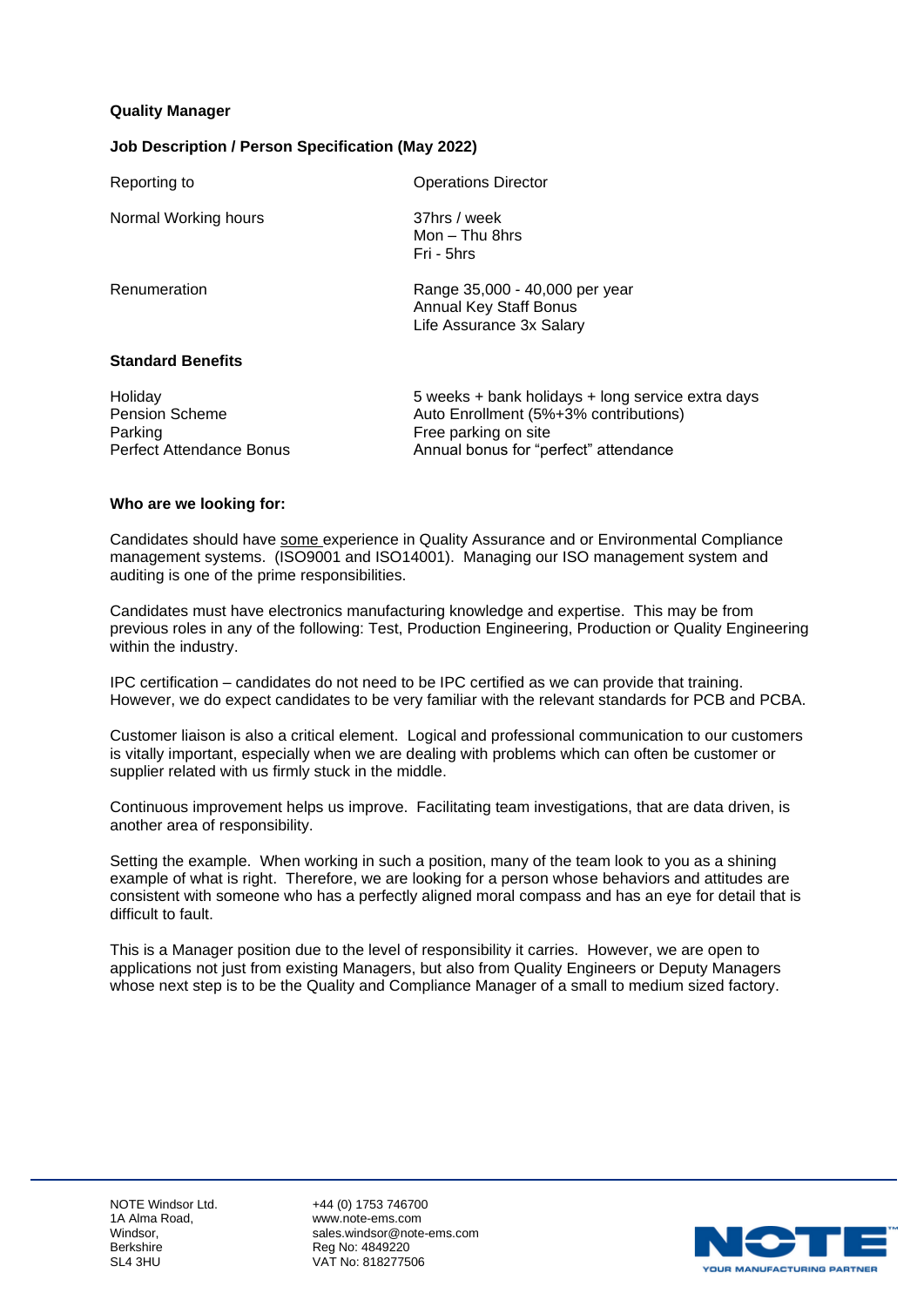### **Quality Manager**

### **Job Description / Person Specification (May 2022)**

| Reporting to             | <b>Operations Director</b>                                                                  |
|--------------------------|---------------------------------------------------------------------------------------------|
| Normal Working hours     | 37hrs / week<br>Mon – Thu 8hrs<br>Fri - 5hrs                                                |
| Renumeration             | Range 35,000 - 40,000 per year<br><b>Annual Key Staff Bonus</b><br>Life Assurance 3x Salary |
| <b>Standard Benefits</b> |                                                                                             |

| Holiday                         | 5 weeks  |
|---------------------------------|----------|
| <b>Pension Scheme</b>           | Auto Eni |
| Parking                         | Free par |
| <b>Perfect Attendance Bonus</b> | Annual b |

+ bank holidays + long service extra days rollment (5%+3% contributions) king on site ponus for "perfect" attendance

#### **Who are we looking for:**

Candidates should have some experience in Quality Assurance and or Environmental Compliance management systems. (ISO9001 and ISO14001). Managing our ISO management system and auditing is one of the prime responsibilities.

Candidates must have electronics manufacturing knowledge and expertise. This may be from previous roles in any of the following: Test, Production Engineering, Production or Quality Engineering within the industry.

IPC certification – candidates do not need to be IPC certified as we can provide that training. However, we do expect candidates to be very familiar with the relevant standards for PCB and PCBA.

Customer liaison is also a critical element. Logical and professional communication to our customers is vitally important, especially when we are dealing with problems which can often be customer or supplier related with us firmly stuck in the middle.

Continuous improvement helps us improve. Facilitating team investigations, that are data driven, is another area of responsibility.

Setting the example. When working in such a position, many of the team look to you as a shining example of what is right. Therefore, we are looking for a person whose behaviors and attitudes are consistent with someone who has a perfectly aligned moral compass and has an eye for detail that is difficult to fault.

This is a Manager position due to the level of responsibility it carries. However, we are open to applications not just from existing Managers, but also from Quality Engineers or Deputy Managers whose next step is to be the Quality and Compliance Manager of a small to medium sized factory.

NOTE Windsor Ltd. +44 (0) 1753 746700 1A Alma Road, entitled a mort www.note-ems.com<br>Windsor windsor Windsor, sales.windsor@note-ems.com<br>
Reg No: 4849220<br>
Reg No: 4849220 Reg No: 4849220 SL4 3HU VAT No: 818277506